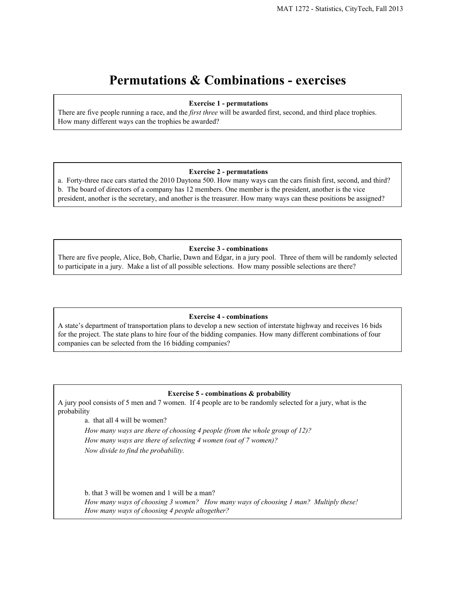# **Permutations & Combinations exercises**

#### **Exercise 1 permutations**

There are five people running a race, and the *first three* will be awarded first, second, and third place trophies. How many different ways can the trophies be awarded?

## **Exercise 2 permutations**

a. Fortythree race cars started the 2010 Daytona 500. How many ways can the cars finish first, second, and third? b. The board of directors of a company has 12 members. One member is the president, another is the vice president, another is the secretary, and another is the treasurer. How many ways can these positions be assigned?

#### **Exercise 3 combinations**

There are five people, Alice, Bob, Charlie, Dawn and Edgar, in a jury pool. Three of them will be randomly selected to participate in a jury. Make a list of all possible selections. How many possible selections are there?

### **Exercise 4 combinations**

A state's department of transportation plans to develop a new section of interstate highway and receives 16 bids for the project. The state plans to hire four of the bidding companies. How many different combinations of four companies can be selected from the 16 bidding companies?

#### **Exercise 5 combinations & probability**

A jury pool consists of 5 men and 7 women. If 4 people are to be randomly selected for a jury, what is the probability

a. that all 4 will be women?

*How many ways are there of choosing 4 people (from the whole group of 12)? How many ways are there of selecting 4 women (out of 7 women)? Now divide to find the probability.*

b. that 3 will be women and 1 will be a man? *How many ways of choosing 3 women? How many ways of choosing 1 man? Multiply these! How many ways of choosing 4 people altogether?*